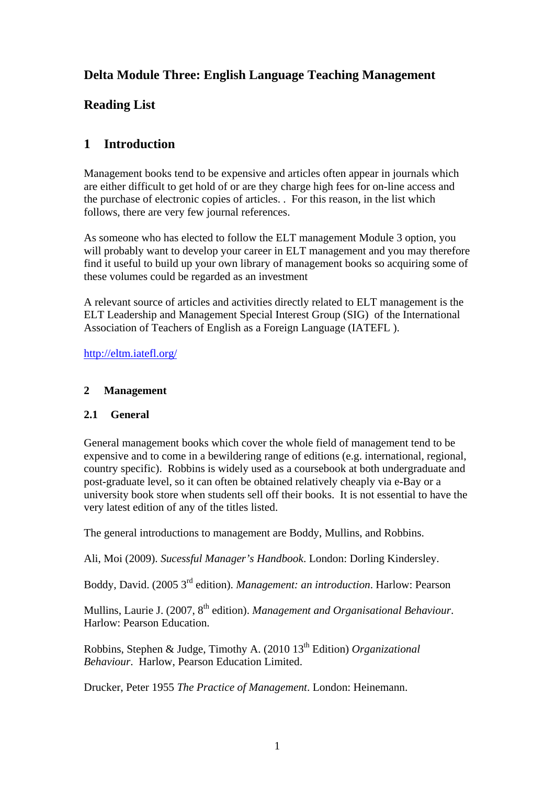# **Delta Module Three: English Language Teaching Management**

# **Reading List**

# **1 Introduction**

Management books tend to be expensive and articles often appear in journals which are either difficult to get hold of or are they charge high fees for on-line access and the purchase of electronic copies of articles. . For this reason, in the list which follows, there are very few journal references.

As someone who has elected to follow the ELT management Module 3 option, you will probably want to develop your career in ELT management and you may therefore find it useful to build up your own library of management books so acquiring some of these volumes could be regarded as an investment

A relevant source of articles and activities directly related to ELT management is the ELT Leadership and Management Special Interest Group (SIG) of the International Association of Teachers of English as a Foreign Language (IATEFL ).

<http://eltm.iatefl.org/>

# **2 Management**

## **2.1 General**

General management books which cover the whole field of management tend to be expensive and to come in a bewildering range of editions (e.g. international, regional, country specific). Robbins is widely used as a coursebook at both undergraduate and post-graduate level, so it can often be obtained relatively cheaply via e-Bay or a university book store when students sell off their books. It is not essential to have the very latest edition of any of the titles listed.

The general introductions to management are Boddy, Mullins, and Robbins.

Ali, Moi (2009). *Sucessful Manager's Handbook*. London: Dorling Kindersley.

Boddy, David. (2005 3rd edition). *Management: an introduction*. Harlow: Pearson

Mullins, Laurie J. (2007, 8<sup>th</sup> edition). *Management and Organisational Behaviour*. Harlow: Pearson Education.

Robbins, Stephen & Judge, Timothy A. (2010 13<sup>th</sup> Edition) *Organizational Behaviour*. Harlow, Pearson Education Limited.

Drucker, Peter 1955 *The Practice of Management*. London: Heinemann.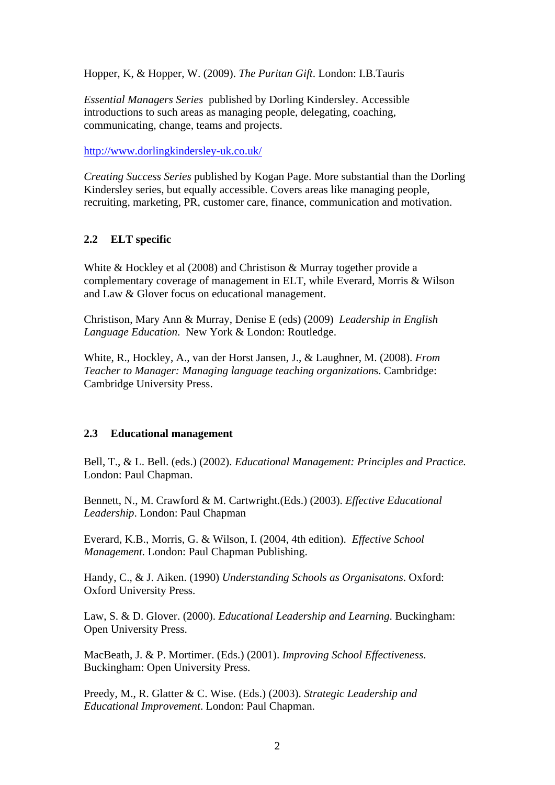Hopper, K, & Hopper, W. (2009). *The Puritan Gift*. London: I.B.Tauris

*Essential Managers Series* published by Dorling Kindersley. Accessible introductions to such areas as managing people, delegating, coaching, communicating, change, teams and projects.

<http://www.dorlingkindersley-uk.co.uk/>

*Creating Success Series* published by Kogan Page. More substantial than the Dorling Kindersley series, but equally accessible. Covers areas like managing people. recruiting, marketing, PR, customer care, finance, communication and motivation.

# **2.2 ELT specific**

White & Hockley et al (2008) and Christison & Murray together provide a complementary coverage of management in ELT, while Everard, Morris & Wilson and Law & Glover focus on educational management.

Christison, Mary Ann & Murray, Denise E (eds) (2009) *Leadership in English Language Education*. New York & London: Routledge.

White, R., Hockley, A., van der Horst Jansen, J., & Laughner, M. (2008). *From Teacher to Manager: Managing language teaching organization*s. Cambridge: Cambridge University Press.

## **2.3 Educational management**

Bell, T., & L. Bell. (eds.) (2002). *Educational Management: Principles and Practice.* London: Paul Chapman.

Bennett, N., M. Crawford & M. Cartwright*.*(Eds.) (2003). *Effective Educational Leadership*. London: Paul Chapman

Everard, K.B., Morris, G. & Wilson, I. (2004, 4th edition). *Effective School Management.* London: Paul Chapman Publishing.

Handy, C., & J. Aiken. (1990) *Understanding Schools as Organisatons*. Oxford: Oxford University Press.

Law, S. & D. Glover. (2000). *Educational Leadership and Learning*. Buckingham: Open University Press.

MacBeath, J. & P. Mortimer. (Eds.) (2001). *Improving School Effectiveness*. Buckingham: Open University Press.

Preedy, M., R. Glatter & C. Wise. (Eds.) (2003). *Strategic Leadership and Educational Improvement*. London: Paul Chapman.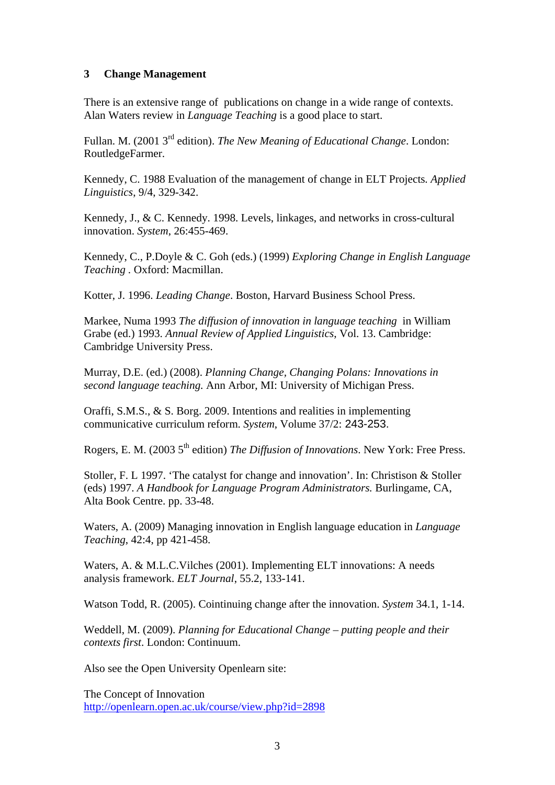#### **3 Change Management**

There is an extensive range of publications on change in a wide range of contexts. Alan Waters review in *Language Teaching* is a good place to start.

Fullan. M. (2001 3rd edition). *The New Meaning of Educational Change*. London: RoutledgeFarmer.

Kennedy, C. 1988 Evaluation of the management of change in ELT Projects*. Applied Linguistics*, 9/4, 329-342.

Kennedy, J., & C. Kennedy. 1998. Levels, linkages, and networks in cross-cultural innovation. *System*, 26:455-469.

Kennedy, C., P.Doyle & C. Goh (eds.) (1999) *Exploring Change in English Language Teaching .* Oxford: Macmillan.

Kotter, J. 1996. *Leading Change*. Boston, Harvard Business School Press.

Markee, Numa 1993 *The diffusion of innovation in language teaching* in William Grabe (ed.) 1993. *Annual Review of Applied Linguistics*, Vol. 13. Cambridge: Cambridge University Press.

Murray, D.E. (ed.) (2008). *Planning Change, Changing Polans: Innovations in second language teaching.* Ann Arbor, MI: University of Michigan Press.

Oraffi, S.M.S., & S. Borg. 2009. Intentions and realities in implementing communicative curriculum reform. *System*, Volume 37/2: 243-253.

Rogers, E. M. (2003 5<sup>th</sup> edition) *The Diffusion of Innovations*. New York: Free Press.

Stoller, F. L 1997. 'The catalyst for change and innovation'. In: Christison & Stoller (eds) 1997. *A Handbook for Language Program Administrators.* Burlingame, CA, Alta Book Centre. pp. 33-48.

Waters, A. (2009) Managing innovation in English language education in *Language Teaching*, 42:4, pp 421-458.

Waters, A. & M.L.C.Vilches (2001). Implementing ELT innovations: A needs analysis framework. *ELT Journal*, 55.2, 133-141.

Watson Todd, R. (2005). Cointinuing change after the innovation. *System* 34.1, 1-14.

Weddell, M. (2009). *Planning for Educational Change – putting people and their contexts first*. London: Continuum.

Also see the Open University Openlearn site:

The Concept of Innovation <http://openlearn.open.ac.uk/course/view.php?id=2898>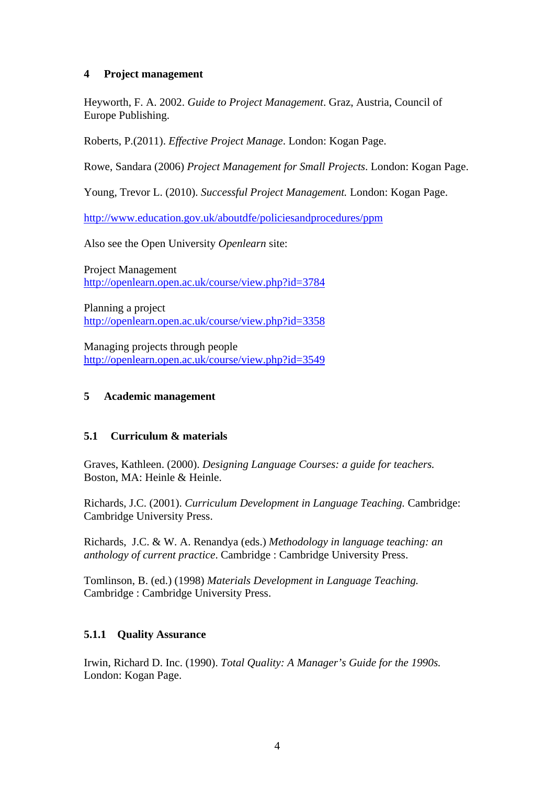### **4 Project management**

Heyworth, F. A. 2002. *Guide to Project Management*. Graz, Austria, Council of Europe Publishing.

Roberts, P.(2011). *Effective Project Manage*. London: Kogan Page.

Rowe, Sandara (2006) *Project Management for Small Projects*. London: Kogan Page.

Young, Trevor L. (2010). *Successful Project Management.* London: Kogan Page.

<http://www.education.gov.uk/aboutdfe/policiesandprocedures/ppm>

Also see the Open University *Openlearn* site:

Project Management <http://openlearn.open.ac.uk/course/view.php?id=3784>

Planning a project <http://openlearn.open.ac.uk/course/view.php?id=3358>

Managing projects through people <http://openlearn.open.ac.uk/course/view.php?id=3549>

#### **5 Academic management**

#### **5.1 Curriculum & materials**

Graves, Kathleen. (2000). *Designing Language Courses: a guide for teachers.*  Boston, MA: Heinle & Heinle.

Richards, J.C. (2001). *Curriculum Development in Language Teaching.* Cambridge: Cambridge University Press.

Richards, J.C. & W. A. Renandya (eds.) *Methodology in language teaching: an anthology of current practice*. Cambridge : Cambridge University Press.

Tomlinson, B. (ed.) (1998) *Materials Development in Language Teaching.* Cambridge : Cambridge University Press.

## **5.1.1 Quality Assurance**

Irwin, Richard D. Inc. (1990). *Total Quality: A Manager's Guide for the 1990s.*  London: Kogan Page.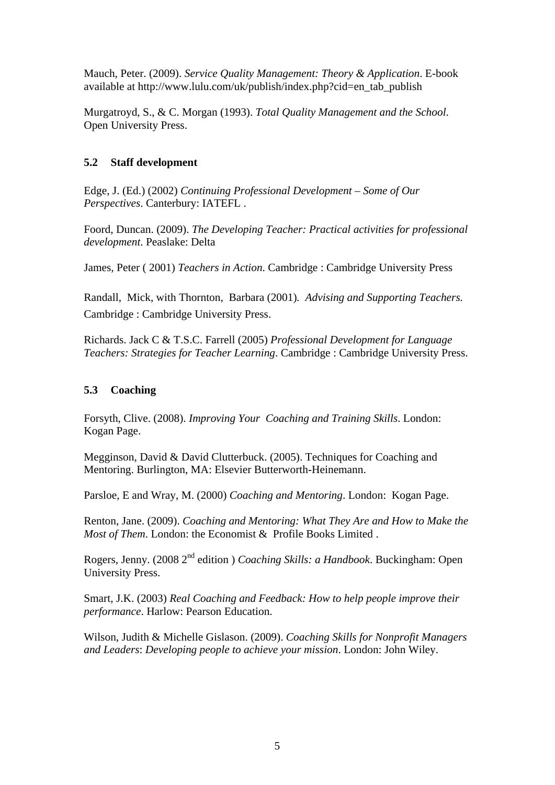Mauch, Peter. (2009). *Service Quality Management: Theory & Application*. E-book available at http://www.lulu.com/uk/publish/index.php?cid=en\_tab\_publish

Murgatroyd, S., & C. Morgan (1993). *Total Quality Management and the School*. Open University Press.

## **5.2 Staff development**

Edge, J. (Ed.) (2002) *Continuing Professional Development – Some of Our Perspectives*. Canterbury: IATEFL .

Foord, Duncan. (2009). *The Developing Teacher: Practical activities for professional development*. Peaslake: Delta

James, Peter ( 2001) *Teachers in Action*. Cambridge : Cambridge University Press

Randall, Mick, with Thornton, Barbara (2001)*. Advising and Supporting Teachers.*  Cambridge : Cambridge University Press.

Richards. Jack C & T.S.C. Farrell (2005) *Professional Development for Language Teachers: Strategies for Teacher Learning*. Cambridge : Cambridge University Press.

# **5.3 Coaching**

Forsyth, Clive. (2008). *Improving Your Coaching and Training Skills*. London: Kogan Page.

Megginson, David & David Clutterbuck. (2005). Techniques for Coaching and Mentoring. Burlington, MA: Elsevier Butterworth-Heinemann.

Parsloe, E and Wray, M. (2000) *Coaching and Mentoring*. London: Kogan Page.

Renton, Jane. (2009). *Coaching and Mentoring: What They Are and How to Make the Most of Them*. London: the Economist & Profile Books Limited .

Rogers, Jenny. (2008 2nd edition ) *Coaching Skills: a Handbook*. Buckingham: Open University Press.

Smart, J.K. (2003) *Real Coaching and Feedback: How to help people improve their performance*. Harlow: Pearson Education.

Wilson, Judith & Michelle Gislason. (2009). *Coaching Skills for Nonprofit Managers and Leaders*: *Developing people to achieve your mission*. London: John Wiley.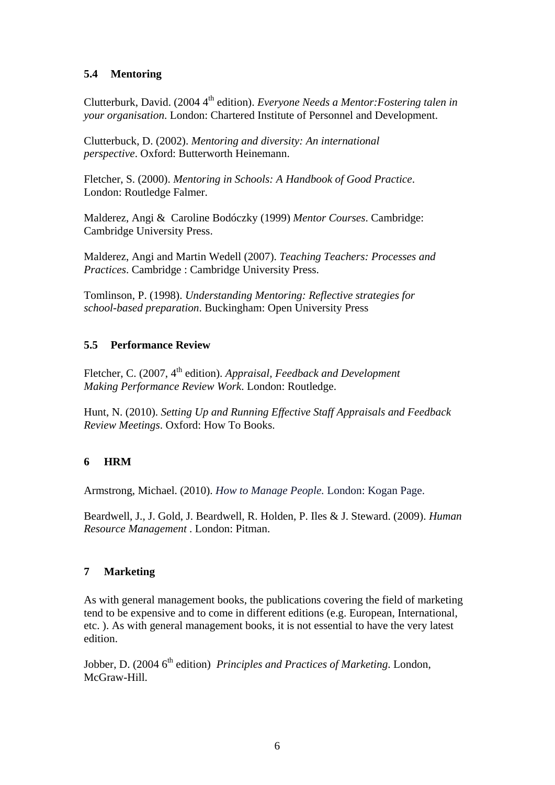# **5.4 Mentoring**

Clutterburk, David. (2004 4<sup>th</sup> edition). *Everyone Needs a Mentor: Fostering talen in your organisation*. London: Chartered Institute of Personnel and Development.

Clutterbuck, D. (2002). *Mentoring and diversity: An international perspective*. Oxford: Butterworth Heinemann.

Fletcher, S. (2000). *Mentoring in Schools: A Handbook of Good Practice*. London: Routledge Falmer.

Malderez, Angi & Caroline Bodóczky (1999) *Mentor Courses*. Cambridge: Cambridge University Press.

Malderez, Angi and Martin Wedell (2007). *Teaching Teachers: Processes and Practices*. Cambridge : Cambridge University Press.

Tomlinson, P. (1998). *Understanding Mentoring: Reflective strategies for school-based preparation*. Buckingham: Open University Press

## **5.5 Performance Review**

Fletcher, C. (2007, 4<sup>th</sup> edition). *Appraisal, Feedback and Development Making Performance Review Work*. London: Routledge.

Hunt, N. (2010). *Setting Up and Running Effective Staff Appraisals and Feedback Review Meetings*. Oxford: How To Books.

# **6 HRM**

Armstrong, Michael. (2010). *How to Manage People.* London: Kogan Page.

Beardwell, J., J. Gold, J. Beardwell, R. Holden, P. Iles & J. Steward. (2009). *Human Resource Management* . London: Pitman.

## **7 Marketing**

As with general management books, the publications covering the field of marketing tend to be expensive and to come in different editions (e.g. European, International, etc. ). As with general management books, it is not essential to have the very latest edition.

Jobber, D. (2004 6<sup>th</sup> edition) *Principles and Practices of Marketing*. London, McGraw-Hill.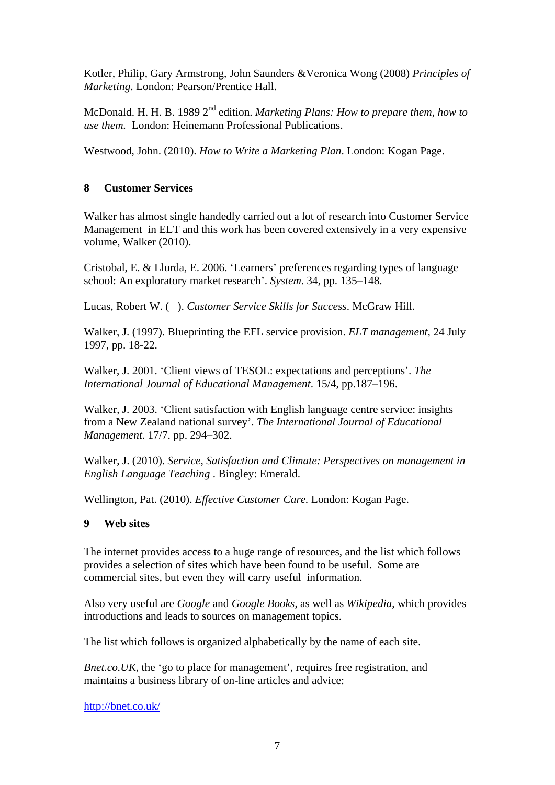Kotler, Philip, Gary Armstrong, John Saunders &Veronica Wong (2008) *Principles of Marketing*. London: Pearson/Prentice Hall.

McDonald. H. H. B. 1989 2<sup>nd</sup> edition. *Marketing Plans: How to prepare them, how to use them.* London: Heinemann Professional Publications.

Westwood, John. (2010). *How to Write a Marketing Plan*. London: Kogan Page.

### **8 Customer Services**

Walker has almost single handedly carried out a lot of research into Customer Service Management in ELT and this work has been covered extensively in a very expensive volume, Walker (2010).

Cristobal, E. & Llurda, E. 2006. 'Learners' preferences regarding types of language school: An exploratory market research'. *System*. 34, pp. 135–148.

Lucas, Robert W. ( ). *Customer Service Skills for Success*. McGraw Hill.

Walker, J. (1997). Blueprinting the EFL service provision. *ELT management,* 24 July 1997, pp. 18-22.

Walker, J. 2001. 'Client views of TESOL: expectations and perceptions'. *The International Journal of Educational Management*. 15/4, pp.187–196.

Walker, J. 2003. 'Client satisfaction with English language centre service: insights from a New Zealand national survey'. *The International Journal of Educational Management*. 17/7. pp. 294–302.

Walker, J. (2010). *Service, Satisfaction and Climate: Perspectives on management in English Language Teaching* . Bingley: Emerald.

Wellington, Pat. (2010). *Effective Customer Care.* London: Kogan Page.

#### **9 Web sites**

The internet provides access to a huge range of resources, and the list which follows provides a selection of sites which have been found to be useful. Some are commercial sites, but even they will carry useful information.

Also very useful are *Google* and *Google Books*, as well as *Wikipedia*, which provides introductions and leads to sources on management topics.

The list which follows is organized alphabetically by the name of each site.

*Bnet.co.UK*, the 'go to place for management', requires free registration, and maintains a business library of on-line articles and advice:

<http://bnet.co.uk/>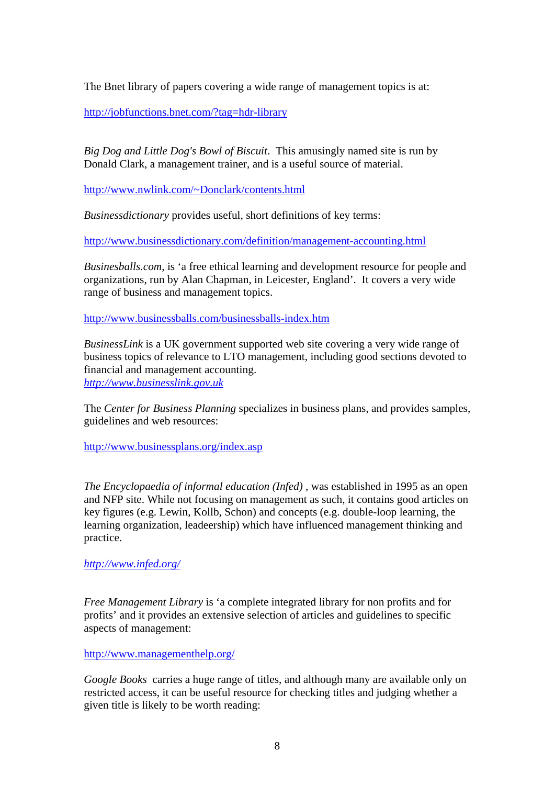The Bnet library of papers covering a wide range of management topics is at:

<http://jobfunctions.bnet.com/?tag=hdr-library>

*Big Dog and Little Dog's Bowl of Biscuit*. This amusingly named site is run by Donald Clark, a management trainer, and is a useful source of material.

[http://www.nwlink.com/~Donclark/contents.html](http://www.nwlink.com/%7EDonclark/contents.html)

*Businessdictionary* provides useful, short definitions of key terms:

<http://www.businessdictionary.com/definition/management-accounting.html>

*Businesballs.com*, is 'a free ethical learning and development resource for people and organizations, run by Alan Chapman, in Leicester, England'. It covers a very wide range of business and management topics.

<http://www.businessballs.com/businessballs-index.htm>

*BusinessLink* is a UK government supported web site covering a very wide range of business topics of relevance to LTO management, including good sections devoted to financial and management accounting. *[http://www.businesslink.gov.uk](http://www.businesslink.gov.uk/)*

The *Center for Business Planning* specializes in business plans, and provides samples, guidelines and web resources:

<http://www.businessplans.org/index.asp>

*The Encyclopaedia of informal education (Infed)* , was established in 1995 as an open and NFP site. While not focusing on management as such, it contains good articles on key figures (e.g. Lewin, Kollb, Schon) and concepts (e.g. double-loop learning, the learning organization, leadeership) which have influenced management thinking and practice.

*<http://www.infed.org/>*

*Free Management Library* is 'a complete integrated library for non profits and for profits' and it provides an extensive selection of articles and guidelines to specific aspects of management:

<http://www.managementhelp.org/>

*Google Books* carries a huge range of titles, and although many are available only on restricted access, it can be useful resource for checking titles and judging whether a given title is likely to be worth reading: